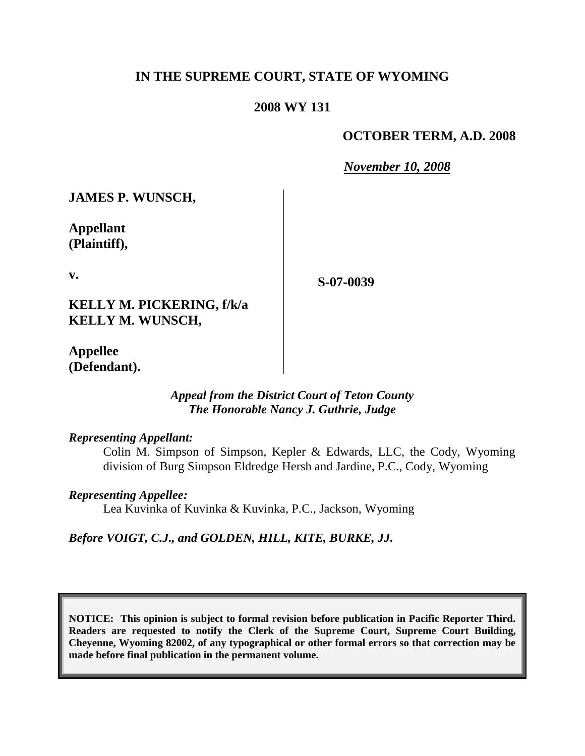# **IN THE SUPREME COURT, STATE OF WYOMING**

# **2008 WY 131**

# **OCTOBER TERM, A.D. 2008**

*November 10, 2008*

**JAMES P. WUNSCH,**

**Appellant (Plaintiff),**

**v.**

**S-07-0039**

**KELLY M. PICKERING, f/k/a KELLY M. WUNSCH,**

**Appellee (Defendant).**

# *Appeal from the District Court of Teton County The Honorable Nancy J. Guthrie, Judge*

*Representing Appellant:*

Colin M. Simpson of Simpson, Kepler & Edwards, LLC, the Cody, Wyoming division of Burg Simpson Eldredge Hersh and Jardine, P.C., Cody, Wyoming

*Representing Appellee:*

Lea Kuvinka of Kuvinka & Kuvinka, P.C., Jackson, Wyoming

*Before VOIGT, C.J., and GOLDEN, HILL, KITE, BURKE, JJ.*

**NOTICE: This opinion is subject to formal revision before publication in Pacific Reporter Third. Readers are requested to notify the Clerk of the Supreme Court, Supreme Court Building, Cheyenne, Wyoming 82002, of any typographical or other formal errors so that correction may be made before final publication in the permanent volume.**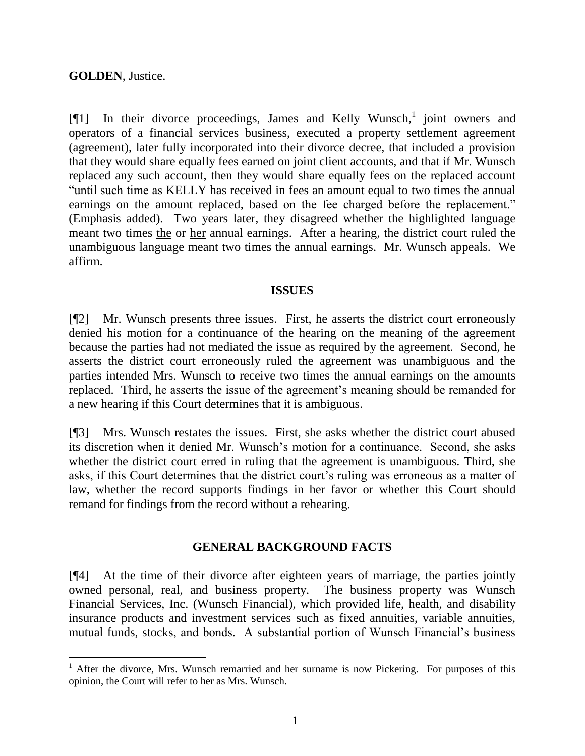## **GOLDEN**, Justice.

l

 $[\![1]\!]$  In their divorce proceedings, James and Kelly Wunsch,<sup>1</sup> joint owners and operators of a financial services business, executed a property settlement agreement (agreement), later fully incorporated into their divorce decree, that included a provision that they would share equally fees earned on joint client accounts, and that if Mr. Wunsch replaced any such account, then they would share equally fees on the replaced account "until such time as KELLY has received in fees an amount equal to two times the annual earnings on the amount replaced, based on the fee charged before the replacement." (Emphasis added). Two years later, they disagreed whether the highlighted language meant two times the or her annual earnings. After a hearing, the district court ruled the unambiguous language meant two times the annual earnings. Mr. Wunsch appeals. We affirm.

#### **ISSUES**

[¶2] Mr. Wunsch presents three issues. First, he asserts the district court erroneously denied his motion for a continuance of the hearing on the meaning of the agreement because the parties had not mediated the issue as required by the agreement. Second, he asserts the district court erroneously ruled the agreement was unambiguous and the parties intended Mrs. Wunsch to receive two times the annual earnings on the amounts replaced. Third, he asserts the issue of the agreement's meaning should be remanded for a new hearing if this Court determines that it is ambiguous.

[¶3] Mrs. Wunsch restates the issues. First, she asks whether the district court abused its discretion when it denied Mr. Wunsch's motion for a continuance. Second, she asks whether the district court erred in ruling that the agreement is unambiguous. Third, she asks, if this Court determines that the district court's ruling was erroneous as a matter of law, whether the record supports findings in her favor or whether this Court should remand for findings from the record without a rehearing.

### **GENERAL BACKGROUND FACTS**

[¶4] At the time of their divorce after eighteen years of marriage, the parties jointly owned personal, real, and business property. The business property was Wunsch Financial Services, Inc. (Wunsch Financial), which provided life, health, and disability insurance products and investment services such as fixed annuities, variable annuities, mutual funds, stocks, and bonds. A substantial portion of Wunsch Financial's business

 $1$  After the divorce, Mrs. Wunsch remarried and her surname is now Pickering. For purposes of this opinion, the Court will refer to her as Mrs. Wunsch.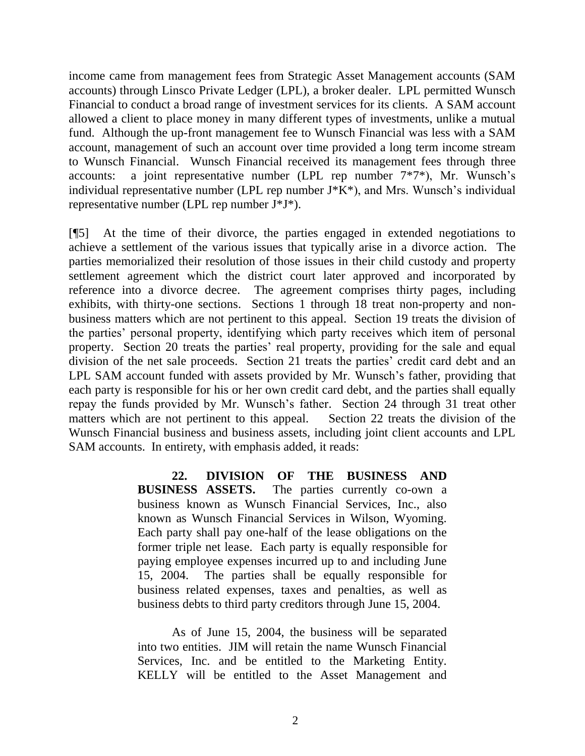income came from management fees from Strategic Asset Management accounts (SAM accounts) through Linsco Private Ledger (LPL), a broker dealer. LPL permitted Wunsch Financial to conduct a broad range of investment services for its clients. A SAM account allowed a client to place money in many different types of investments, unlike a mutual fund. Although the up-front management fee to Wunsch Financial was less with a SAM account, management of such an account over time provided a long term income stream to Wunsch Financial. Wunsch Financial received its management fees through three accounts: a joint representative number (LPL rep number 7\*7\*), Mr. Wunsch's individual representative number (LPL rep number  $J*K^*$ ), and Mrs. Wunsch's individual representative number (LPL rep number J\*J\*).

[¶5] At the time of their divorce, the parties engaged in extended negotiations to achieve a settlement of the various issues that typically arise in a divorce action. The parties memorialized their resolution of those issues in their child custody and property settlement agreement which the district court later approved and incorporated by reference into a divorce decree. The agreement comprises thirty pages, including exhibits, with thirty-one sections. Sections 1 through 18 treat non-property and nonbusiness matters which are not pertinent to this appeal. Section 19 treats the division of the parties' personal property, identifying which party receives which item of personal property. Section 20 treats the parties' real property, providing for the sale and equal division of the net sale proceeds. Section 21 treats the parties' credit card debt and an LPL SAM account funded with assets provided by Mr. Wunsch's father, providing that each party is responsible for his or her own credit card debt, and the parties shall equally repay the funds provided by Mr. Wunsch's father. Section 24 through 31 treat other matters which are not pertinent to this appeal. Section 22 treats the division of the Wunsch Financial business and business assets, including joint client accounts and LPL SAM accounts. In entirety, with emphasis added, it reads:

> **22. DIVISION OF THE BUSINESS AND BUSINESS ASSETS.** The parties currently co-own a business known as Wunsch Financial Services, Inc., also known as Wunsch Financial Services in Wilson, Wyoming. Each party shall pay one-half of the lease obligations on the former triple net lease. Each party is equally responsible for paying employee expenses incurred up to and including June 15, 2004. The parties shall be equally responsible for business related expenses, taxes and penalties, as well as business debts to third party creditors through June 15, 2004.

As of June 15, 2004, the business will be separated into two entities. JIM will retain the name Wunsch Financial Services, Inc. and be entitled to the Marketing Entity. KELLY will be entitled to the Asset Management and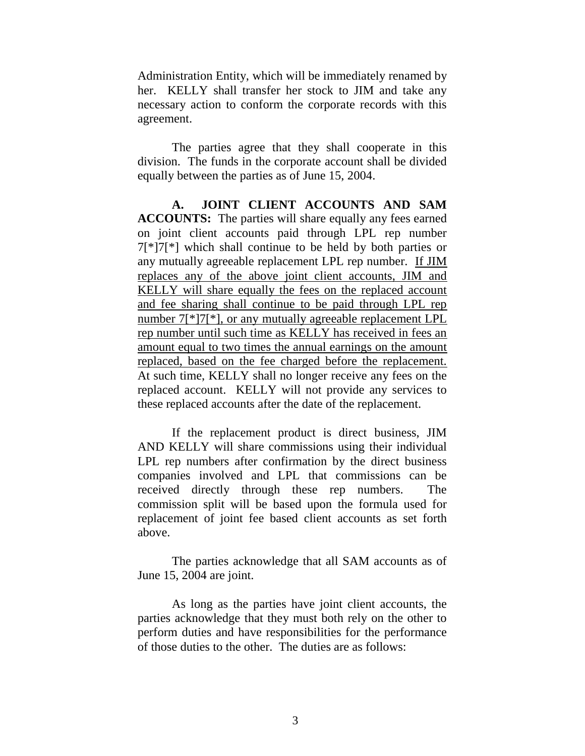Administration Entity, which will be immediately renamed by her. KELLY shall transfer her stock to JIM and take any necessary action to conform the corporate records with this agreement.

The parties agree that they shall cooperate in this division. The funds in the corporate account shall be divided equally between the parties as of June 15, 2004.

**A. JOINT CLIENT ACCOUNTS AND SAM ACCOUNTS:** The parties will share equally any fees earned on joint client accounts paid through LPL rep number 7[\*]7[\*] which shall continue to be held by both parties or any mutually agreeable replacement LPL rep number. If JIM replaces any of the above joint client accounts, JIM and KELLY will share equally the fees on the replaced account and fee sharing shall continue to be paid through LPL rep number 7[\*]7[\*], or any mutually agreeable replacement LPL rep number until such time as KELLY has received in fees an amount equal to two times the annual earnings on the amount replaced, based on the fee charged before the replacement. At such time, KELLY shall no longer receive any fees on the replaced account. KELLY will not provide any services to these replaced accounts after the date of the replacement.

If the replacement product is direct business, JIM AND KELLY will share commissions using their individual LPL rep numbers after confirmation by the direct business companies involved and LPL that commissions can be received directly through these rep numbers. The commission split will be based upon the formula used for replacement of joint fee based client accounts as set forth above.

The parties acknowledge that all SAM accounts as of June 15, 2004 are joint.

As long as the parties have joint client accounts, the parties acknowledge that they must both rely on the other to perform duties and have responsibilities for the performance of those duties to the other. The duties are as follows: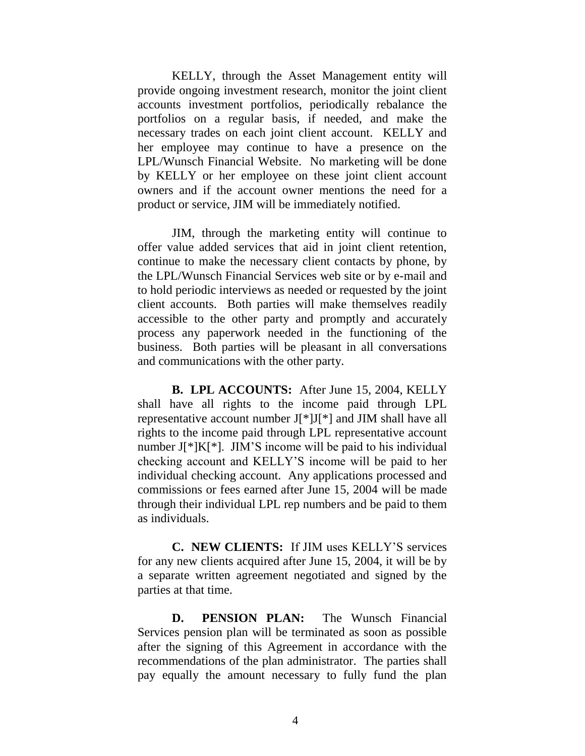KELLY, through the Asset Management entity will provide ongoing investment research, monitor the joint client accounts investment portfolios, periodically rebalance the portfolios on a regular basis, if needed, and make the necessary trades on each joint client account. KELLY and her employee may continue to have a presence on the LPL/Wunsch Financial Website. No marketing will be done by KELLY or her employee on these joint client account owners and if the account owner mentions the need for a product or service, JIM will be immediately notified.

JIM, through the marketing entity will continue to offer value added services that aid in joint client retention, continue to make the necessary client contacts by phone, by the LPL/Wunsch Financial Services web site or by e-mail and to hold periodic interviews as needed or requested by the joint client accounts. Both parties will make themselves readily accessible to the other party and promptly and accurately process any paperwork needed in the functioning of the business. Both parties will be pleasant in all conversations and communications with the other party.

**B. LPL ACCOUNTS:** After June 15, 2004, KELLY shall have all rights to the income paid through LPL representative account number J[\*]J[\*] and JIM shall have all rights to the income paid through LPL representative account number J[\*]K[\*]. JIM'S income will be paid to his individual checking account and KELLY'S income will be paid to her individual checking account. Any applications processed and commissions or fees earned after June 15, 2004 will be made through their individual LPL rep numbers and be paid to them as individuals.

**C. NEW CLIENTS:** If JIM uses KELLY'S services for any new clients acquired after June 15, 2004, it will be by a separate written agreement negotiated and signed by the parties at that time.

**D. PENSION PLAN:** The Wunsch Financial Services pension plan will be terminated as soon as possible after the signing of this Agreement in accordance with the recommendations of the plan administrator. The parties shall pay equally the amount necessary to fully fund the plan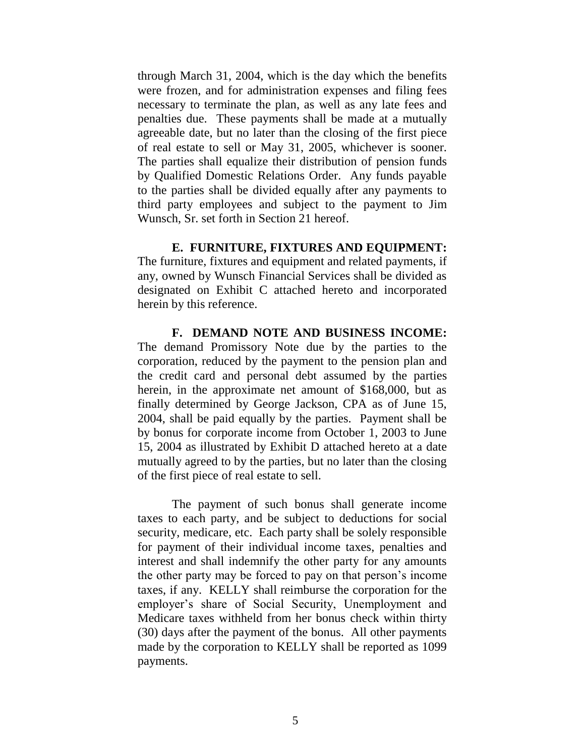through March 31, 2004, which is the day which the benefits were frozen, and for administration expenses and filing fees necessary to terminate the plan, as well as any late fees and penalties due. These payments shall be made at a mutually agreeable date, but no later than the closing of the first piece of real estate to sell or May 31, 2005, whichever is sooner. The parties shall equalize their distribution of pension funds by Qualified Domestic Relations Order. Any funds payable to the parties shall be divided equally after any payments to third party employees and subject to the payment to Jim Wunsch, Sr. set forth in Section 21 hereof.

**E. FURNITURE, FIXTURES AND EQUIPMENT:** The furniture, fixtures and equipment and related payments, if any, owned by Wunsch Financial Services shall be divided as designated on Exhibit C attached hereto and incorporated herein by this reference.

**F. DEMAND NOTE AND BUSINESS INCOME:**  The demand Promissory Note due by the parties to the corporation, reduced by the payment to the pension plan and the credit card and personal debt assumed by the parties herein, in the approximate net amount of \$168,000, but as finally determined by George Jackson, CPA as of June 15, 2004, shall be paid equally by the parties. Payment shall be by bonus for corporate income from October 1, 2003 to June 15, 2004 as illustrated by Exhibit D attached hereto at a date mutually agreed to by the parties, but no later than the closing of the first piece of real estate to sell.

The payment of such bonus shall generate income taxes to each party, and be subject to deductions for social security, medicare, etc. Each party shall be solely responsible for payment of their individual income taxes, penalties and interest and shall indemnify the other party for any amounts the other party may be forced to pay on that person's income taxes, if any. KELLY shall reimburse the corporation for the employer's share of Social Security, Unemployment and Medicare taxes withheld from her bonus check within thirty (30) days after the payment of the bonus. All other payments made by the corporation to KELLY shall be reported as 1099 payments.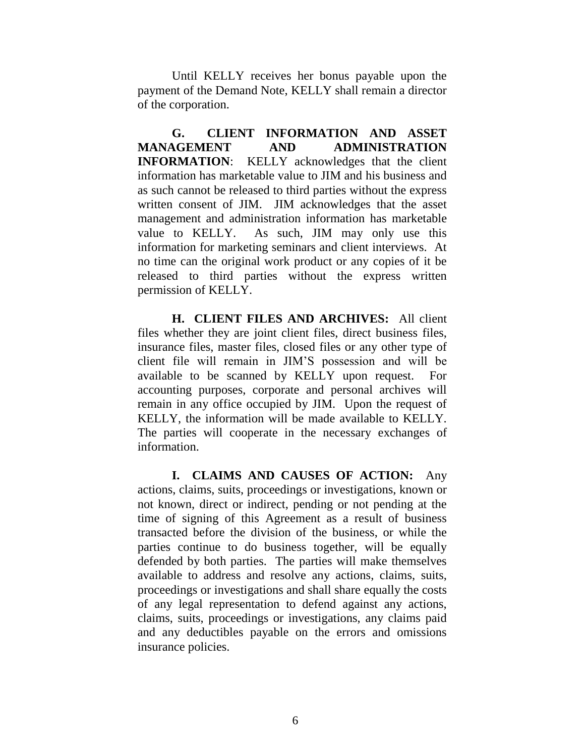Until KELLY receives her bonus payable upon the payment of the Demand Note, KELLY shall remain a director of the corporation.

**G. CLIENT INFORMATION AND ASSET MANAGEMENT AND ADMINISTRATION INFORMATION**: KELLY acknowledges that the client information has marketable value to JIM and his business and as such cannot be released to third parties without the express written consent of JIM. JIM acknowledges that the asset management and administration information has marketable value to KELLY. As such, JIM may only use this information for marketing seminars and client interviews. At no time can the original work product or any copies of it be released to third parties without the express written permission of KELLY.

**H. CLIENT FILES AND ARCHIVES:** All client files whether they are joint client files, direct business files, insurance files, master files, closed files or any other type of client file will remain in JIM'S possession and will be available to be scanned by KELLY upon request. For accounting purposes, corporate and personal archives will remain in any office occupied by JIM. Upon the request of KELLY, the information will be made available to KELLY. The parties will cooperate in the necessary exchanges of information.

**I. CLAIMS AND CAUSES OF ACTION:** Any actions, claims, suits, proceedings or investigations, known or not known, direct or indirect, pending or not pending at the time of signing of this Agreement as a result of business transacted before the division of the business, or while the parties continue to do business together, will be equally defended by both parties. The parties will make themselves available to address and resolve any actions, claims, suits, proceedings or investigations and shall share equally the costs of any legal representation to defend against any actions, claims, suits, proceedings or investigations, any claims paid and any deductibles payable on the errors and omissions insurance policies.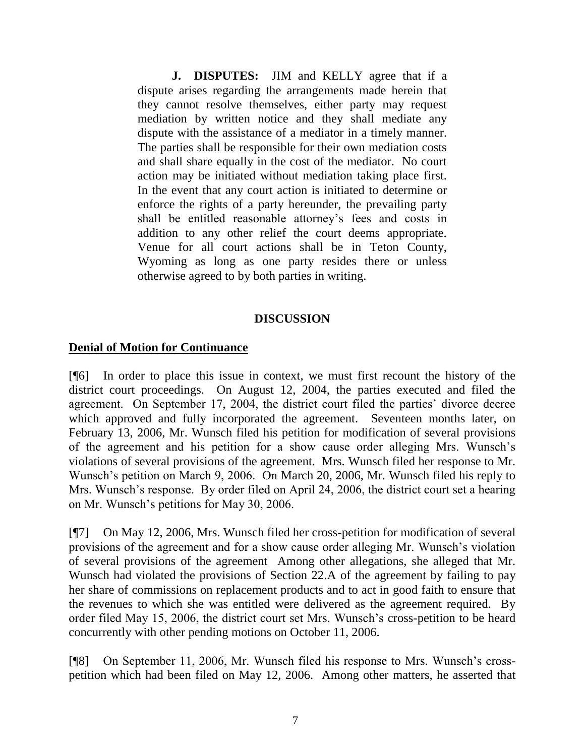**J. DISPUTES:** JIM and KELLY agree that if a dispute arises regarding the arrangements made herein that they cannot resolve themselves, either party may request mediation by written notice and they shall mediate any dispute with the assistance of a mediator in a timely manner. The parties shall be responsible for their own mediation costs and shall share equally in the cost of the mediator. No court action may be initiated without mediation taking place first. In the event that any court action is initiated to determine or enforce the rights of a party hereunder, the prevailing party shall be entitled reasonable attorney's fees and costs in addition to any other relief the court deems appropriate. Venue for all court actions shall be in Teton County, Wyoming as long as one party resides there or unless otherwise agreed to by both parties in writing.

## **DISCUSSION**

### **Denial of Motion for Continuance**

[¶6] In order to place this issue in context, we must first recount the history of the district court proceedings. On August 12, 2004, the parties executed and filed the agreement. On September 17, 2004, the district court filed the parties' divorce decree which approved and fully incorporated the agreement. Seventeen months later, on February 13, 2006, Mr. Wunsch filed his petition for modification of several provisions of the agreement and his petition for a show cause order alleging Mrs. Wunsch's violations of several provisions of the agreement. Mrs. Wunsch filed her response to Mr. Wunsch's petition on March 9, 2006. On March 20, 2006, Mr. Wunsch filed his reply to Mrs. Wunsch's response. By order filed on April 24, 2006, the district court set a hearing on Mr. Wunsch's petitions for May 30, 2006.

[¶7] On May 12, 2006, Mrs. Wunsch filed her cross-petition for modification of several provisions of the agreement and for a show cause order alleging Mr. Wunsch's violation of several provisions of the agreement Among other allegations, she alleged that Mr. Wunsch had violated the provisions of Section 22.A of the agreement by failing to pay her share of commissions on replacement products and to act in good faith to ensure that the revenues to which she was entitled were delivered as the agreement required. By order filed May 15, 2006, the district court set Mrs. Wunsch's cross-petition to be heard concurrently with other pending motions on October 11, 2006.

[¶8] On September 11, 2006, Mr. Wunsch filed his response to Mrs. Wunsch's crosspetition which had been filed on May 12, 2006. Among other matters, he asserted that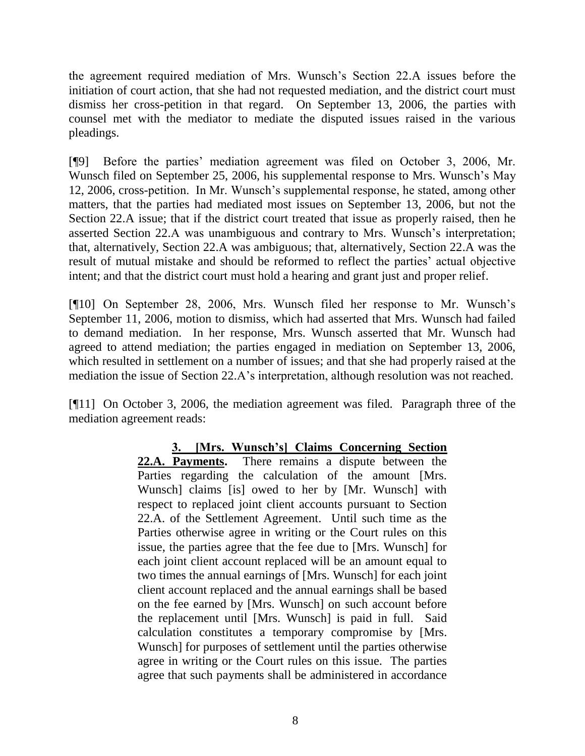the agreement required mediation of Mrs. Wunsch's Section 22.A issues before the initiation of court action, that she had not requested mediation, and the district court must dismiss her cross-petition in that regard. On September 13, 2006, the parties with counsel met with the mediator to mediate the disputed issues raised in the various pleadings.

[¶9] Before the parties' mediation agreement was filed on October 3, 2006, Mr. Wunsch filed on September 25, 2006, his supplemental response to Mrs. Wunsch's May 12, 2006, cross-petition. In Mr. Wunsch's supplemental response, he stated, among other matters, that the parties had mediated most issues on September 13, 2006, but not the Section 22.A issue; that if the district court treated that issue as properly raised, then he asserted Section 22.A was unambiguous and contrary to Mrs. Wunsch's interpretation; that, alternatively, Section 22.A was ambiguous; that, alternatively, Section 22.A was the result of mutual mistake and should be reformed to reflect the parties' actual objective intent; and that the district court must hold a hearing and grant just and proper relief.

[¶10] On September 28, 2006, Mrs. Wunsch filed her response to Mr. Wunsch's September 11, 2006, motion to dismiss, which had asserted that Mrs. Wunsch had failed to demand mediation. In her response, Mrs. Wunsch asserted that Mr. Wunsch had agreed to attend mediation; the parties engaged in mediation on September 13, 2006, which resulted in settlement on a number of issues; and that she had properly raised at the mediation the issue of Section 22.A's interpretation, although resolution was not reached.

[¶11] On October 3, 2006, the mediation agreement was filed. Paragraph three of the mediation agreement reads:

> **3. [Mrs. Wunsch's] Claims Concerning Section 22.A. Payments.** There remains a dispute between the Parties regarding the calculation of the amount [Mrs. Wunsch] claims [is] owed to her by [Mr. Wunsch] with respect to replaced joint client accounts pursuant to Section 22.A. of the Settlement Agreement. Until such time as the Parties otherwise agree in writing or the Court rules on this issue, the parties agree that the fee due to [Mrs. Wunsch] for each joint client account replaced will be an amount equal to two times the annual earnings of [Mrs. Wunsch] for each joint client account replaced and the annual earnings shall be based on the fee earned by [Mrs. Wunsch] on such account before the replacement until [Mrs. Wunsch] is paid in full. Said calculation constitutes a temporary compromise by [Mrs. Wunsch] for purposes of settlement until the parties otherwise agree in writing or the Court rules on this issue. The parties agree that such payments shall be administered in accordance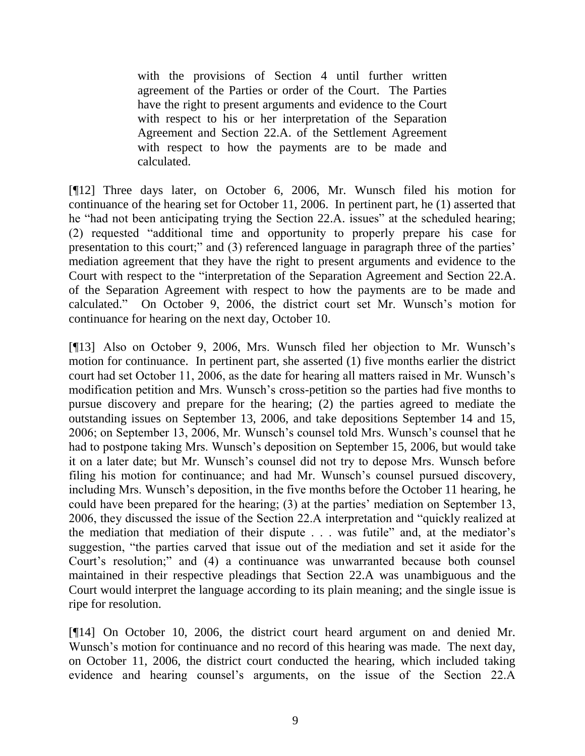with the provisions of Section 4 until further written agreement of the Parties or order of the Court. The Parties have the right to present arguments and evidence to the Court with respect to his or her interpretation of the Separation Agreement and Section 22.A. of the Settlement Agreement with respect to how the payments are to be made and calculated.

[¶12] Three days later, on October 6, 2006, Mr. Wunsch filed his motion for continuance of the hearing set for October 11, 2006. In pertinent part, he (1) asserted that he "had not been anticipating trying the Section 22.A. issues" at the scheduled hearing; (2) requested "additional time and opportunity to properly prepare his case for presentation to this court;" and (3) referenced language in paragraph three of the parties' mediation agreement that they have the right to present arguments and evidence to the Court with respect to the "interpretation of the Separation Agreement and Section 22.A. of the Separation Agreement with respect to how the payments are to be made and calculated." On October 9, 2006, the district court set Mr. Wunsch's motion for continuance for hearing on the next day, October 10.

[¶13] Also on October 9, 2006, Mrs. Wunsch filed her objection to Mr. Wunsch's motion for continuance. In pertinent part, she asserted (1) five months earlier the district court had set October 11, 2006, as the date for hearing all matters raised in Mr. Wunsch's modification petition and Mrs. Wunsch's cross-petition so the parties had five months to pursue discovery and prepare for the hearing; (2) the parties agreed to mediate the outstanding issues on September 13, 2006, and take depositions September 14 and 15, 2006; on September 13, 2006, Mr. Wunsch's counsel told Mrs. Wunsch's counsel that he had to postpone taking Mrs. Wunsch's deposition on September 15, 2006, but would take it on a later date; but Mr. Wunsch's counsel did not try to depose Mrs. Wunsch before filing his motion for continuance; and had Mr. Wunsch's counsel pursued discovery, including Mrs. Wunsch's deposition, in the five months before the October 11 hearing, he could have been prepared for the hearing; (3) at the parties' mediation on September 13, 2006, they discussed the issue of the Section 22.A interpretation and "quickly realized at the mediation that mediation of their dispute . . . was futile" and, at the mediator's suggestion, "the parties carved that issue out of the mediation and set it aside for the Court's resolution;" and (4) a continuance was unwarranted because both counsel maintained in their respective pleadings that Section 22.A was unambiguous and the Court would interpret the language according to its plain meaning; and the single issue is ripe for resolution.

[¶14] On October 10, 2006, the district court heard argument on and denied Mr. Wunsch's motion for continuance and no record of this hearing was made. The next day, on October 11, 2006, the district court conducted the hearing, which included taking evidence and hearing counsel's arguments, on the issue of the Section 22.A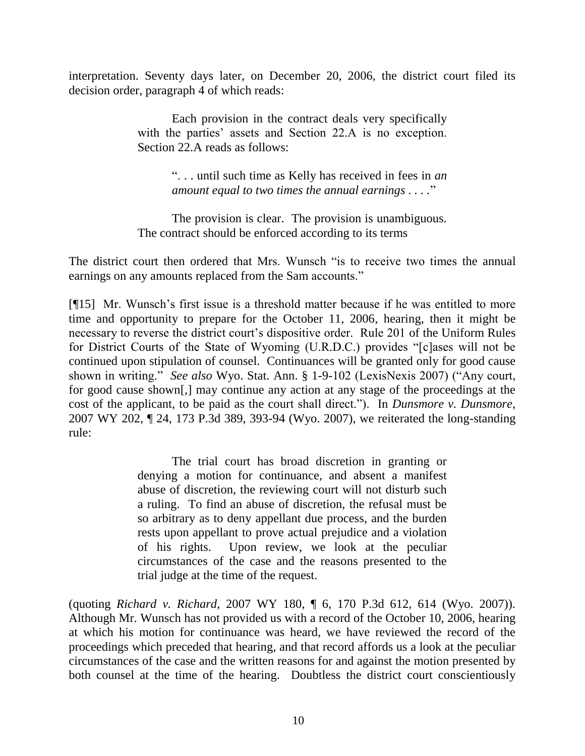interpretation. Seventy days later, on December 20, 2006, the district court filed its decision order, paragraph 4 of which reads:

> Each provision in the contract deals very specifically with the parties' assets and Section 22.A is no exception. Section 22.A reads as follows:

> > ". . . until such time as Kelly has received in fees in *an amount equal to two times the annual earnings . . . .*"

The provision is clear. The provision is unambiguous. The contract should be enforced according to its terms

The district court then ordered that Mrs. Wunsch "is to receive two times the annual earnings on any amounts replaced from the Sam accounts."

[¶15] Mr. Wunsch's first issue is a threshold matter because if he was entitled to more time and opportunity to prepare for the October 11, 2006, hearing, then it might be necessary to reverse the district court's dispositive order. Rule 201 of the Uniform Rules for District Courts of the State of Wyoming (U.R.D.C.) provides "[c]ases will not be continued upon stipulation of counsel. Continuances will be granted only for good cause shown in writing." *See also* Wyo. Stat. Ann. § 1-9-102 (LexisNexis 2007) ("Any court, for good cause shown[,] may continue any action at any stage of the proceedings at the cost of the applicant, to be paid as the court shall direct."). In *Dunsmore v. Dunsmore*, 2007 WY 202, ¶ 24, 173 P.3d 389, 393-94 (Wyo. 2007), we reiterated the long-standing rule:

> The trial court has broad discretion in granting or denying a motion for continuance, and absent a manifest abuse of discretion, the reviewing court will not disturb such a ruling. To find an abuse of discretion, the refusal must be so arbitrary as to deny appellant due process, and the burden rests upon appellant to prove actual prejudice and a violation of his rights. Upon review, we look at the peculiar circumstances of the case and the reasons presented to the trial judge at the time of the request.

(quoting *Richard v. Richard*, 2007 WY 180, ¶ 6, 170 P.3d 612, 614 (Wyo. 2007)). Although Mr. Wunsch has not provided us with a record of the October 10, 2006, hearing at which his motion for continuance was heard, we have reviewed the record of the proceedings which preceded that hearing, and that record affords us a look at the peculiar circumstances of the case and the written reasons for and against the motion presented by both counsel at the time of the hearing. Doubtless the district court conscientiously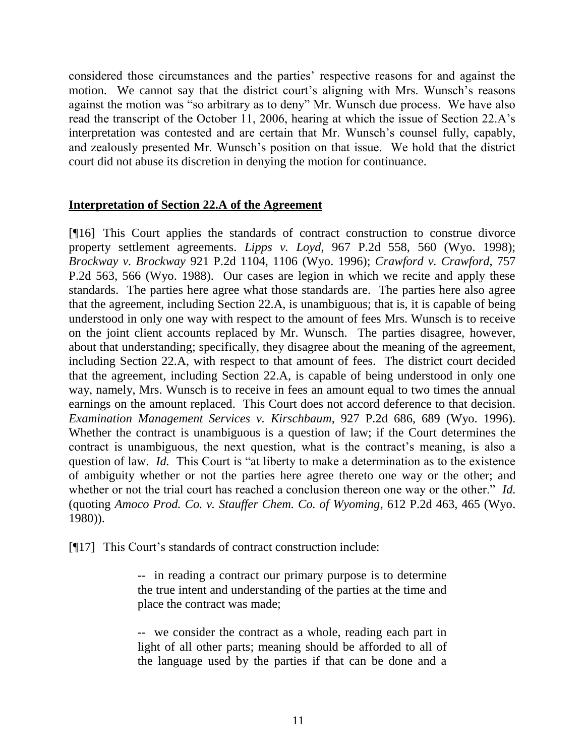considered those circumstances and the parties' respective reasons for and against the motion. We cannot say that the district court's aligning with Mrs. Wunsch's reasons against the motion was "so arbitrary as to deny" Mr. Wunsch due process. We have also read the transcript of the October 11, 2006, hearing at which the issue of Section 22.A's interpretation was contested and are certain that Mr. Wunsch's counsel fully, capably, and zealously presented Mr. Wunsch's position on that issue. We hold that the district court did not abuse its discretion in denying the motion for continuance.

### **Interpretation of Section 22.A of the Agreement**

[¶16] This Court applies the standards of contract construction to construe divorce property settlement agreements. *Lipps v. Loyd*, 967 P.2d 558, 560 (Wyo. 1998); *Brockway v. Brockway* 921 P.2d 1104, 1106 (Wyo. 1996); *Crawford v. Crawford*, 757 P.2d 563, 566 (Wyo. 1988). Our cases are legion in which we recite and apply these standards. The parties here agree what those standards are. The parties here also agree that the agreement, including Section 22.A, is unambiguous; that is, it is capable of being understood in only one way with respect to the amount of fees Mrs. Wunsch is to receive on the joint client accounts replaced by Mr. Wunsch. The parties disagree, however, about that understanding; specifically, they disagree about the meaning of the agreement, including Section 22.A, with respect to that amount of fees. The district court decided that the agreement, including Section 22.A, is capable of being understood in only one way, namely, Mrs. Wunsch is to receive in fees an amount equal to two times the annual earnings on the amount replaced. This Court does not accord deference to that decision. *Examination Management Services v. Kirschbaum*, 927 P.2d 686, 689 (Wyo. 1996). Whether the contract is unambiguous is a question of law; if the Court determines the contract is unambiguous, the next question, what is the contract's meaning, is also a question of law. *Id.* This Court is "at liberty to make a determination as to the existence of ambiguity whether or not the parties here agree thereto one way or the other; and whether or not the trial court has reached a conclusion thereon one way or the other." *Id.* (quoting *Amoco Prod. Co. v. Stauffer Chem. Co. of Wyoming*, 612 P.2d 463, 465 (Wyo. 1980)).

[¶17] This Court's standards of contract construction include:

-- in reading a contract our primary purpose is to determine the true intent and understanding of the parties at the time and place the contract was made;

-- we consider the contract as a whole, reading each part in light of all other parts; meaning should be afforded to all of the language used by the parties if that can be done and a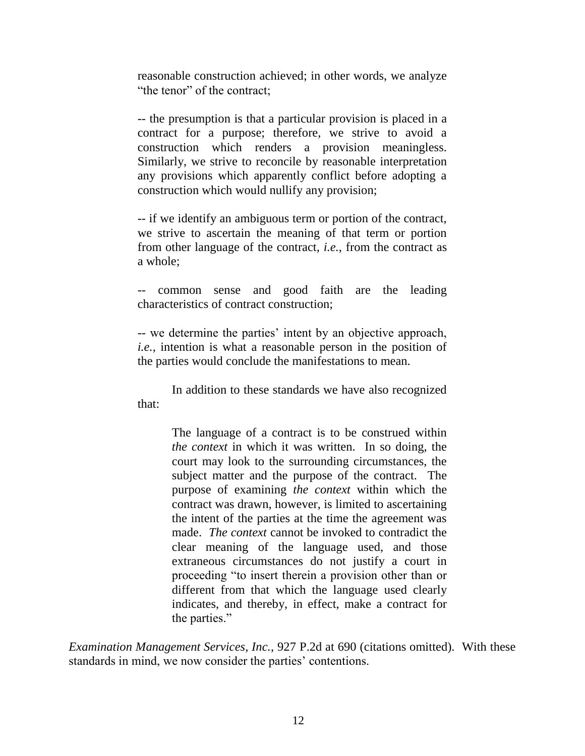reasonable construction achieved; in other words, we analyze "the tenor" of the contract;

-- the presumption is that a particular provision is placed in a contract for a purpose; therefore, we strive to avoid a construction which renders a provision meaningless. Similarly, we strive to reconcile by reasonable interpretation any provisions which apparently conflict before adopting a construction which would nullify any provision;

-- if we identify an ambiguous term or portion of the contract, we strive to ascertain the meaning of that term or portion from other language of the contract, *i.e.*, from the contract as a whole;

common sense and good faith are the leading characteristics of contract construction;

-- we determine the parties' intent by an objective approach, *i.e.*, intention is what a reasonable person in the position of the parties would conclude the manifestations to mean.

In addition to these standards we have also recognized that:

> The language of a contract is to be construed within *the context* in which it was written. In so doing, the court may look to the surrounding circumstances, the subject matter and the purpose of the contract. The purpose of examining *the context* within which the contract was drawn, however, is limited to ascertaining the intent of the parties at the time the agreement was made. *The context* cannot be invoked to contradict the clear meaning of the language used, and those extraneous circumstances do not justify a court in proceeding "to insert therein a provision other than or different from that which the language used clearly indicates, and thereby, in effect, make a contract for the parties."

*Examination Management Services, Inc.*, 927 P.2d at 690 (citations omitted). With these standards in mind, we now consider the parties' contentions.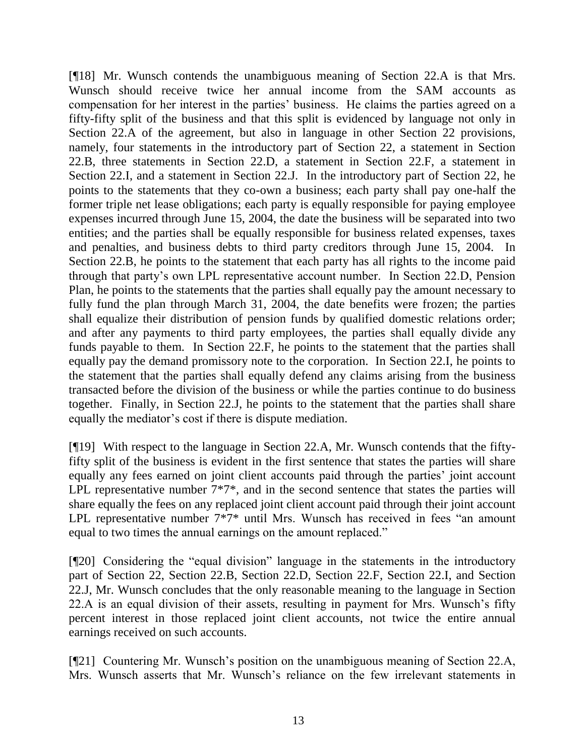[¶18] Mr. Wunsch contends the unambiguous meaning of Section 22.A is that Mrs. Wunsch should receive twice her annual income from the SAM accounts as compensation for her interest in the parties' business. He claims the parties agreed on a fifty-fifty split of the business and that this split is evidenced by language not only in Section 22.A of the agreement, but also in language in other Section 22 provisions, namely, four statements in the introductory part of Section 22, a statement in Section 22.B, three statements in Section 22.D, a statement in Section 22.F, a statement in Section 22.I, and a statement in Section 22.J. In the introductory part of Section 22, he points to the statements that they co-own a business; each party shall pay one-half the former triple net lease obligations; each party is equally responsible for paying employee expenses incurred through June 15, 2004, the date the business will be separated into two entities; and the parties shall be equally responsible for business related expenses, taxes and penalties, and business debts to third party creditors through June 15, 2004. In Section 22.B, he points to the statement that each party has all rights to the income paid through that party's own LPL representative account number. In Section 22.D, Pension Plan, he points to the statements that the parties shall equally pay the amount necessary to fully fund the plan through March 31, 2004, the date benefits were frozen; the parties shall equalize their distribution of pension funds by qualified domestic relations order; and after any payments to third party employees, the parties shall equally divide any funds payable to them. In Section 22.F, he points to the statement that the parties shall equally pay the demand promissory note to the corporation. In Section 22.I, he points to the statement that the parties shall equally defend any claims arising from the business transacted before the division of the business or while the parties continue to do business together. Finally, in Section 22.J, he points to the statement that the parties shall share equally the mediator's cost if there is dispute mediation.

[¶19] With respect to the language in Section 22.A, Mr. Wunsch contends that the fiftyfifty split of the business is evident in the first sentence that states the parties will share equally any fees earned on joint client accounts paid through the parties' joint account LPL representative number  $7*7*$ , and in the second sentence that states the parties will share equally the fees on any replaced joint client account paid through their joint account LPL representative number 7\*7\* until Mrs. Wunsch has received in fees "an amount equal to two times the annual earnings on the amount replaced."

[¶20] Considering the "equal division" language in the statements in the introductory part of Section 22, Section 22.B, Section 22.D, Section 22.F, Section 22.I, and Section 22.J, Mr. Wunsch concludes that the only reasonable meaning to the language in Section 22.A is an equal division of their assets, resulting in payment for Mrs. Wunsch's fifty percent interest in those replaced joint client accounts, not twice the entire annual earnings received on such accounts.

[¶21] Countering Mr. Wunsch's position on the unambiguous meaning of Section 22.A, Mrs. Wunsch asserts that Mr. Wunsch's reliance on the few irrelevant statements in